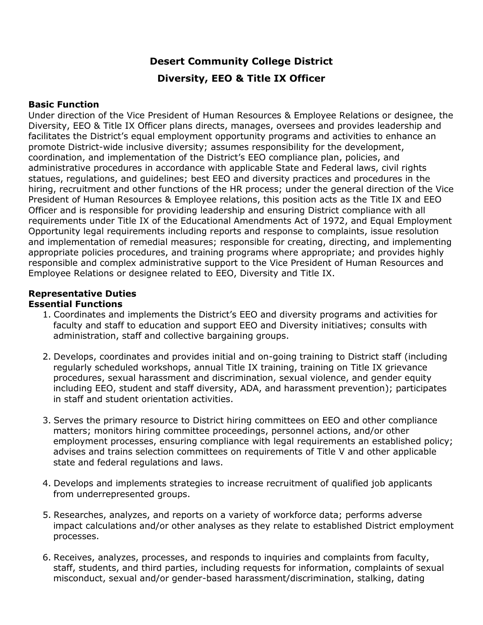### **Desert Community College District**

### **Diversity, EEO & Title IX Officer**

### **Basic Function**

Under direction of the Vice President of Human Resources & Employee Relations or designee, the Diversity, EEO & Title IX Officer plans directs, manages, oversees and provides leadership and facilitates the District's equal employment opportunity programs and activities to enhance an promote District-wide inclusive diversity; assumes responsibility for the development, coordination, and implementation of the District's EEO compliance plan, policies, and administrative procedures in accordance with applicable State and Federal laws, civil rights statues, regulations, and guidelines; best EEO and diversity practices and procedures in the hiring, recruitment and other functions of the HR process; under the general direction of the Vice President of Human Resources & Employee relations, this position acts as the Title IX and EEO Officer and is responsible for providing leadership and ensuring District compliance with all requirements under Title IX of the Educational Amendments Act of 1972, and Equal Employment Opportunity legal requirements including reports and response to complaints, issue resolution and implementation of remedial measures; responsible for creating, directing, and implementing appropriate policies procedures, and training programs where appropriate; and provides highly responsible and complex administrative support to the Vice President of Human Resources and Employee Relations or designee related to EEO, Diversity and Title IX.

## **Representative Duties**

### **Essential Functions**

- 1. Coordinates and implements the District's EEO and diversity programs and activities for faculty and staff to education and support EEO and Diversity initiatives; consults with administration, staff and collective bargaining groups.
- 2. Develops, coordinates and provides initial and on-going training to District staff (including regularly scheduled workshops, annual Title IX training, training on Title IX grievance procedures, sexual harassment and discrimination, sexual violence, and gender equity including EEO, student and staff diversity, ADA, and harassment prevention); participates in staff and student orientation activities.
- 3. Serves the primary resource to District hiring committees on EEO and other compliance matters; monitors hiring committee proceedings, personnel actions, and/or other employment processes, ensuring compliance with legal requirements an established policy; advises and trains selection committees on requirements of Title V and other applicable state and federal regulations and laws.
- 4. Develops and implements strategies to increase recruitment of qualified job applicants from underrepresented groups.
- 5. Researches, analyzes, and reports on a variety of workforce data; performs adverse impact calculations and/or other analyses as they relate to established District employment processes.
- 6. Receives, analyzes, processes, and responds to inquiries and complaints from faculty, staff, students, and third parties, including requests for information, complaints of sexual misconduct, sexual and/or gender-based harassment/discrimination, stalking, dating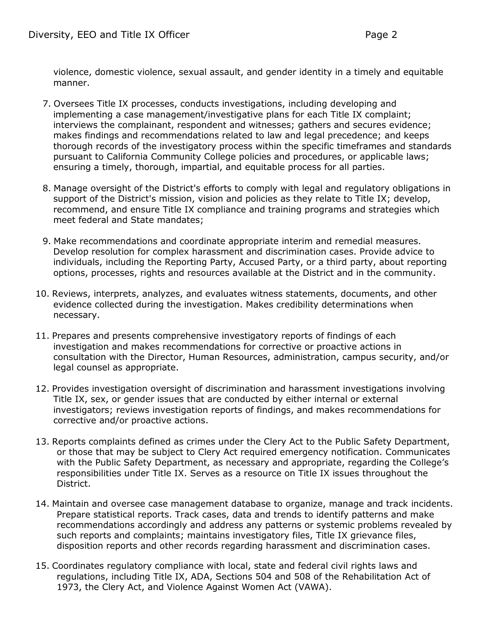violence, domestic violence, sexual assault, and gender identity in a timely and equitable manner.

- 7. Oversees Title IX processes, conducts investigations, including developing and implementing a case management/investigative plans for each Title IX complaint; interviews the complainant, respondent and witnesses; gathers and secures evidence; makes findings and recommendations related to law and legal precedence; and keeps thorough records of the investigatory process within the specific timeframes and standards pursuant to California Community College policies and procedures, or applicable laws; ensuring a timely, thorough, impartial, and equitable process for all parties.
- 8. Manage oversight of the District's efforts to comply with legal and regulatory obligations in support of the District's mission, vision and policies as they relate to Title IX; develop, recommend, and ensure Title IX compliance and training programs and strategies which meet federal and State mandates;
- 9. Make recommendations and coordinate appropriate interim and remedial measures. Develop resolution for complex harassment and discrimination cases. Provide advice to individuals, including the Reporting Party, Accused Party, or a third party, about reporting options, processes, rights and resources available at the District and in the community.
- 10. Reviews, interprets, analyzes, and evaluates witness statements, documents, and other evidence collected during the investigation. Makes credibility determinations when necessary.
- 11. Prepares and presents comprehensive investigatory reports of findings of each investigation and makes recommendations for corrective or proactive actions in consultation with the Director, Human Resources, administration, campus security, and/or legal counsel as appropriate.
- 12. Provides investigation oversight of discrimination and harassment investigations involving Title IX, sex, or gender issues that are conducted by either internal or external investigators; reviews investigation reports of findings, and makes recommendations for corrective and/or proactive actions.
- 13. Reports complaints defined as crimes under the Clery Act to the Public Safety Department, or those that may be subject to Clery Act required emergency notification. Communicates with the Public Safety Department, as necessary and appropriate, regarding the College's responsibilities under Title IX. Serves as a resource on Title IX issues throughout the District.
- 14. Maintain and oversee case management database to organize, manage and track incidents. Prepare statistical reports. Track cases, data and trends to identify patterns and make recommendations accordingly and address any patterns or systemic problems revealed by such reports and complaints; maintains investigatory files, Title IX grievance files, disposition reports and other records regarding harassment and discrimination cases.
- 15. Coordinates regulatory compliance with local, state and federal civil rights laws and regulations, including Title IX, ADA, Sections 504 and 508 of the Rehabilitation Act of 1973, the Clery Act, and Violence Against Women Act (VAWA).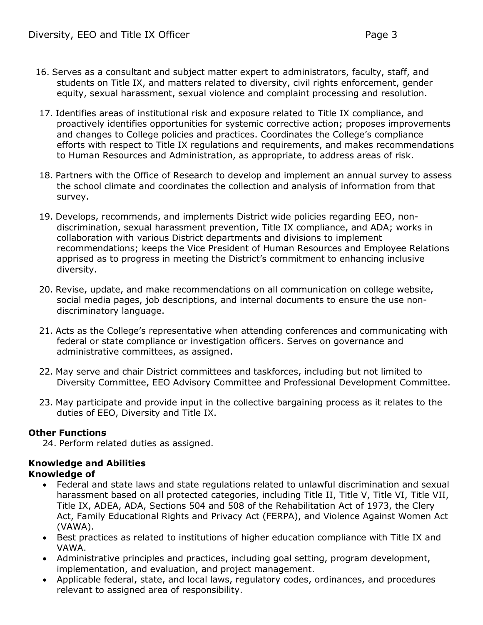- 16. Serves as a consultant and subject matter expert to administrators, faculty, staff, and students on Title IX, and matters related to diversity, civil rights enforcement, gender equity, sexual harassment, sexual violence and complaint processing and resolution.
- 17. Identifies areas of institutional risk and exposure related to Title IX compliance, and proactively identifies opportunities for systemic corrective action; proposes improvements and changes to College policies and practices. Coordinates the College's compliance efforts with respect to Title IX regulations and requirements, and makes recommendations to Human Resources and Administration, as appropriate, to address areas of risk.
- 18. Partners with the Office of Research to develop and implement an annual survey to assess the school climate and coordinates the collection and analysis of information from that survey.
- 19. Develops, recommends, and implements District wide policies regarding EEO, nondiscrimination, sexual harassment prevention, Title IX compliance, and ADA; works in collaboration with various District departments and divisions to implement recommendations; keeps the Vice President of Human Resources and Employee Relations apprised as to progress in meeting the District's commitment to enhancing inclusive diversity.
- 20. Revise, update, and make recommendations on all communication on college website, social media pages, job descriptions, and internal documents to ensure the use nondiscriminatory language.
- 21. Acts as the College's representative when attending conferences and communicating with federal or state compliance or investigation officers. Serves on governance and administrative committees, as assigned.
- 22. May serve and chair District committees and taskforces, including but not limited to Diversity Committee, EEO Advisory Committee and Professional Development Committee.
- 23. May participate and provide input in the collective bargaining process as it relates to the duties of EEO, Diversity and Title IX.

### **Other Functions**

24. Perform related duties as assigned.

# **Knowledge and Abilities**

- **Knowledge of**
	- Federal and state laws and state regulations related to unlawful discrimination and sexual harassment based on all protected categories, including Title II, Title V, Title VI, Title VII, Title IX, ADEA, ADA, Sections 504 and 508 of the Rehabilitation Act of 1973, the Clery Act, Family Educational Rights and Privacy Act (FERPA), and Violence Against Women Act (VAWA).
	- Best practices as related to institutions of higher education compliance with Title IX and VAWA.
	- Administrative principles and practices, including goal setting, program development, implementation, and evaluation, and project management.
	- Applicable federal, state, and local laws, regulatory codes, ordinances, and procedures relevant to assigned area of responsibility.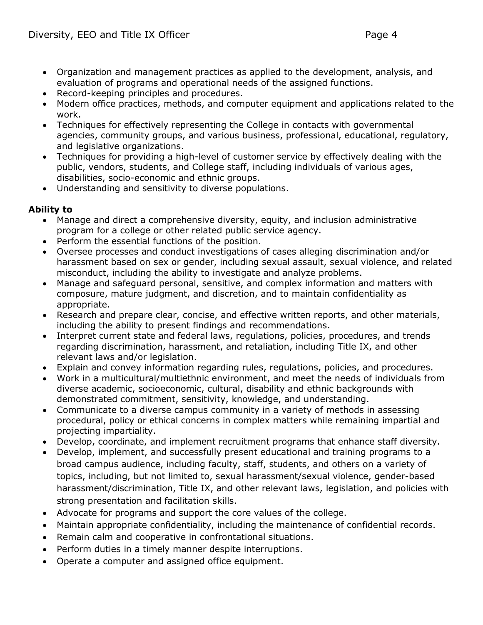- Organization and management practices as applied to the development, analysis, and evaluation of programs and operational needs of the assigned functions.
- Record-keeping principles and procedures.
- Modern office practices, methods, and computer equipment and applications related to the work.
- Techniques for effectively representing the College in contacts with governmental agencies, community groups, and various business, professional, educational, regulatory, and legislative organizations.
- Techniques for providing a high-level of customer service by effectively dealing with the public, vendors, students, and College staff, including individuals of various ages, disabilities, socio-economic and ethnic groups.
- Understanding and sensitivity to diverse populations.

### **Ability to**

- Manage and direct a comprehensive diversity, equity, and inclusion administrative program for a college or other related public service agency.
- Perform the essential functions of the position.
- Oversee processes and conduct investigations of cases alleging discrimination and/or harassment based on sex or gender, including sexual assault, sexual violence, and related misconduct, including the ability to investigate and analyze problems.
- Manage and safeguard personal, sensitive, and complex information and matters with composure, mature judgment, and discretion, and to maintain confidentiality as appropriate.
- Research and prepare clear, concise, and effective written reports, and other materials, including the ability to present findings and recommendations.
- Interpret current state and federal laws, regulations, policies, procedures, and trends regarding discrimination, harassment, and retaliation, including Title IX, and other relevant laws and/or legislation.
- Explain and convey information regarding rules, regulations, policies, and procedures.
- Work in a multicultural/multiethnic environment, and meet the needs of individuals from diverse academic, socioeconomic, cultural, disability and ethnic backgrounds with demonstrated commitment, sensitivity, knowledge, and understanding.
- Communicate to a diverse campus community in a variety of methods in assessing procedural, policy or ethical concerns in complex matters while remaining impartial and projecting impartiality.
- Develop, coordinate, and implement recruitment programs that enhance staff diversity.
- Develop, implement, and successfully present educational and training programs to a broad campus audience, including faculty, staff, students, and others on a variety of topics, including, but not limited to, sexual harassment/sexual violence, gender-based harassment/discrimination, Title IX, and other relevant laws, legislation, and policies with strong presentation and facilitation skills.
- Advocate for programs and support the core values of the college.
- Maintain appropriate confidentiality, including the maintenance of confidential records.
- Remain calm and cooperative in confrontational situations.
- Perform duties in a timely manner despite interruptions.
- Operate a computer and assigned office equipment.